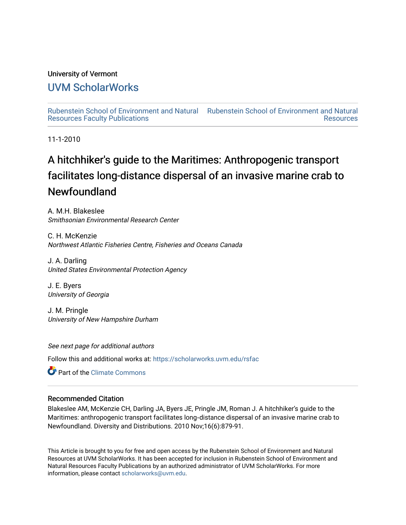## University of Vermont

## [UVM ScholarWorks](https://scholarworks.uvm.edu/)

[Rubenstein School of Environment and Natural](https://scholarworks.uvm.edu/rsfac) [Rubenstein School of Environment and Natural](https://scholarworks.uvm.edu/rs)  [Resources Faculty Publications](https://scholarworks.uvm.edu/rsfac)  [Resources](https://scholarworks.uvm.edu/rs) 

11-1-2010

# A hitchhiker's guide to the Maritimes: Anthropogenic transport facilitates long-distance dispersal of an invasive marine crab to Newfoundland

A. M.H. Blakeslee Smithsonian Environmental Research Center

C. H. McKenzie Northwest Atlantic Fisheries Centre, Fisheries and Oceans Canada

J. A. Darling United States Environmental Protection Agency

J. E. Byers University of Georgia

J. M. Pringle University of New Hampshire Durham

See next page for additional authors

Follow this and additional works at: [https://scholarworks.uvm.edu/rsfac](https://scholarworks.uvm.edu/rsfac?utm_source=scholarworks.uvm.edu%2Frsfac%2F129&utm_medium=PDF&utm_campaign=PDFCoverPages) 

**C** Part of the Climate Commons

## Recommended Citation

Blakeslee AM, McKenzie CH, Darling JA, Byers JE, Pringle JM, Roman J. A hitchhiker's guide to the Maritimes: anthropogenic transport facilitates long‐distance dispersal of an invasive marine crab to Newfoundland. Diversity and Distributions. 2010 Nov;16(6):879-91.

This Article is brought to you for free and open access by the Rubenstein School of Environment and Natural Resources at UVM ScholarWorks. It has been accepted for inclusion in Rubenstein School of Environment and Natural Resources Faculty Publications by an authorized administrator of UVM ScholarWorks. For more information, please contact [scholarworks@uvm.edu.](mailto:scholarworks@uvm.edu)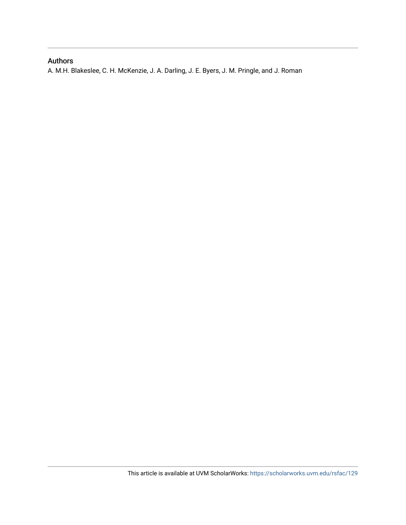## Authors

A. M.H. Blakeslee, C. H. McKenzie, J. A. Darling, J. E. Byers, J. M. Pringle, and J. Roman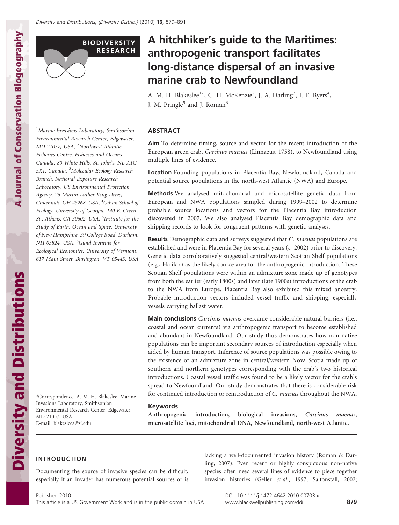

## A hitchhiker's guide to the Maritimes: anthropogenic transport facilitates long-distance dispersal of an invasive marine crab to Newfoundland

A. M. H. Blakeslee<sup>1</sup>\*, C. H. McKenzie<sup>2</sup>, J. A. Darling<sup>3</sup>, J. E. Byers<sup>4</sup>, J. M. Pringle<sup>5</sup> and J. Roman<sup>6</sup>

<sup>1</sup>Marine Invasions Laboratory, Smithsonian Environmental Research Center, Edgewater, MD 21037, USA, <sup>2</sup>Northwest Atlantic Fisheries Centre, Fisheries and Oceans Canada, 80 White Hills, St. John's, NL A1C 5X1, Canada, <sup>3</sup>Molecular Ecology Research Branch, National Exposure Research Laboratory, US Environmental Protection Agency, 26 Martin Luther King Drive, Cincinnati, OH 45268, USA, <sup>4</sup>Odum School of Ecology, University of Georgia, 140 E. Green St., Athens, GA 30602, USA, <sup>5</sup>Institute for the Study of Earth, Ocean and Space, University of New Hampshire, 39 College Road, Durham, NH 03824, USA, <sup>6</sup>Gund Institute for Ecological Economics, University of Vermont, 617 Main Street, Burlington, VT 05443, USA

\*Correspondence: A. M. H. Blakeslee, Marine Invasions Laboratory, Smithsonian Environmental Research Center, Edgewater, MD 21037, USA. E-mail: blakesleea@si.edu

## ABSTRACT

Aim To determine timing, source and vector for the recent introduction of the European green crab, Carcinus maenas (Linnaeus, 1758), to Newfoundland using multiple lines of evidence.

Location Founding populations in Placentia Bay, Newfoundland, Canada and potential source populations in the north-west Atlantic (NWA) and Europe.

Methods We analysed mitochondrial and microsatellite genetic data from European and NWA populations sampled during 1999–2002 to determine probable source locations and vectors for the Placentia Bay introduction discovered in 2007. We also analysed Placentia Bay demographic data and shipping records to look for congruent patterns with genetic analyses.

**Results** Demographic data and surveys suggested that *C. maenas* populations are established and were in Placentia Bay for several years (c. 2002) prior to discovery. Genetic data corroboratively suggested central/western Scotian Shelf populations (e.g., Halifax) as the likely source area for the anthropogenic introduction. These Scotian Shelf populations were within an admixture zone made up of genotypes from both the earlier (early 1800s) and later (late 1900s) introductions of the crab to the NWA from Europe. Placentia Bay also exhibited this mixed ancestry. Probable introduction vectors included vessel traffic and shipping, especially vessels carrying ballast water.

Main conclusions Carcinus maenas overcame considerable natural barriers (i.e., coastal and ocean currents) via anthropogenic transport to become established and abundant in Newfoundland. Our study thus demonstrates how non-native populations can be important secondary sources of introduction especially when aided by human transport. Inference of source populations was possible owing to the existence of an admixture zone in central/western Nova Scotia made up of southern and northern genotypes corresponding with the crab's two historical introductions. Coastal vessel traffic was found to be a likely vector for the crab's spread to Newfoundland. Our study demonstrates that there is considerable risk for continued introduction or reintroduction of C. maenas throughout the NWA.

## Keywords

Anthropogenic introduction, biological invasions, Carcinus maenas, microsatellite loci, mitochondrial DNA, Newfoundland, north-west Atlantic.

## INTRODUCTION

Documenting the source of invasive species can be difficult, especially if an invader has numerous potential sources or is

Published 2010 DOI: 10.1111/j.1472-4642.2010.00703.x This article is a US Government Work and is in the public domain in USA www.blackwellpublishing.com/ddi 879

ling, 2007). Even recent or highly conspicuous non-native species often need several lines of evidence to piece together invasion histories (Geller et al., 1997; Saltonstall, 2002;

lacking a well-documented invasion history (Roman & Dar-

A Journal of Conservation Biogeography

A Journal of Conservation Biogeography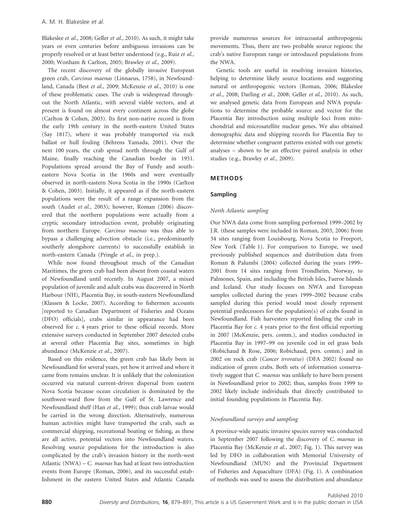Blakeslee et al., 2008; Geller et al., 2010). As such, it might take years or even centuries before ambiguous invasions can be properly resolved or at least better understood (e.g., Ruiz et al., 2000; Wonham & Carlton, 2005; Brawley et al., 2009).

The recent discovery of the globally invasive European green crab, Carcinus maenas (Linnaeus, 1758), in Newfoundland, Canada (Best et al., 2009; McKenzie et al., 2010) is one of these problematic cases. The crab is widespread throughout the North Atlantic, with several viable vectors, and at present is found on almost every continent across the globe (Carlton & Cohen, 2003). Its first non-native record is from the early 19th century in the north-eastern United States (Say 1817), where it was probably transported via rock ballast or hull fouling (Behrens Yamada, 2001). Over the next 100 years, the crab spread north through the Gulf of Maine, finally reaching the Canadian border in 1951. Populations spread around the Bay of Fundy and southeastern Nova Scotia in the 1960s and were eventually observed in north-eastern Nova Scotia in the 1990s (Carlton & Cohen, 2003). Initially, it appeared as if the north-eastern populations were the result of a range expansion from the south (Audet et al., 2003); however, Roman (2006) discovered that the northern populations were actually from a cryptic secondary introduction event, probably originating from northern Europe. Carcinus maenas was thus able to bypass a challenging advection obstacle (i.e., predominantly southerly alongshore currents) to successfully establish in north-eastern Canada (Pringle et al., in prep.).

While now found throughout much of the Canadian Maritimes, the green crab had been absent from coastal waters of Newfoundland until recently. In August 2007, a mixed population of juvenile and adult crabs was discovered in North Harbour (NH), Placentia Bay, in south-eastern Newfoundland (Klassen & Locke, 2007). According to fishermen accounts [reported to Canadian Department of Fisheries and Oceans (DFO) officials], crabs similar in appearance had been observed for c. 4 years prior to these official records. More extensive surveys conducted in September 2007 detected crabs at several other Placentia Bay sites, sometimes in high abundance (McKenzie et al., 2007).

Based on this evidence, the green crab has likely been in Newfoundland for several years, yet how it arrived and where it came from remains unclear. It is unlikely that the colonization occurred via natural current-driven dispersal from eastern Nova Scotia because ocean circulation is dominated by the southwest-ward flow from the Gulf of St. Lawrence and Newfoundland shelf (Han et al., 1999); thus crab larvae would be carried in the wrong direction. Alternatively, numerous human activities might have transported the crab, such as commercial shipping, recreational boating or fishing, as these are all active, potential vectors into Newfoundland waters. Resolving source populations for the introduction is also complicated by the crab's invasion history in the north-west Atlantic (NWA) – C. maenas has had at least two introduction events from Europe (Roman, 2006), and its successful establishment in the eastern United States and Atlantic Canada

provide numerous sources for intracoastal anthropogenic movements. Thus, there are two probable source regions: the crab's native European range or introduced populations from the NWA.

Genetic tools are useful in resolving invasion histories, helping to determine likely source locations and suggesting natural or anthropogenic vectors (Roman, 2006; Blakeslee et al., 2008; Darling et al., 2008; Geller et al., 2010). As such, we analysed genetic data from European and NWA populations to determine the probable source and vector for the Placentia Bay introduction using multiple loci from mitochondrial and microsatellite nuclear genes. We also obtained demographic data and shipping records for Placentia Bay to determine whether congruent patterns existed with our genetic analyses – shown to be an effective paired analysis in other studies (e.g., Brawley et al., 2009).

## METHODS

## Sampling

## North Atlantic sampling

Our NWA data come from sampling performed 1999–2002 by J.R. (these samples were included in Roman, 2003, 2006) from 34 sites ranging from Louisbourg, Nova Scotia to Freeport, New York (Table 1). For comparison to Europe, we used previously published sequences and distribution data from Roman & Palumbi (2004) collected during the years 1999– 2001 from 14 sites ranging from Trondheim, Norway, to Palmones, Spain, and including the British Isles, Faeroe Islands and Iceland. Our study focuses on NWA and European samples collected during the years 1999–2002 because crabs sampled during this period would most closely represent potential predecessors for the population(s) of crabs found in Newfoundland. Fish harvesters reported finding the crab in Placentia Bay for c. 4 years prior to the first official reporting in 2007 (McKenzie, pers. comm.), and studies conducted in Placentia Bay in 1997–99 on juvenile cod in eel grass beds (Robichaud & Rose, 2006; Robichaud, pers. comm.) and in 2002 on rock crab (Cancer irroratus) (DFA 2002) found no indication of green crabs. Both sets of information conservatively suggest that C. maenas was unlikely to have been present in Newfoundland prior to 2002; thus, samples from 1999 to 2002 likely include individuals that directly contributed to initial founding populations in Placentia Bay.

## Newfoundland surveys and sampling

A province-wide aquatic invasive species survey was conducted in September 2007 following the discovery of C. maenas in Placentia Bay (McKenzie et al., 2007; Fig. 1). This survey was led by DFO in collaboration with Memorial University of Newfoundland (MUN) and the Provincial Department of Fisheries and Aquaculture (DFA) (Fig. 1). A combination of methods was used to assess the distribution and abundance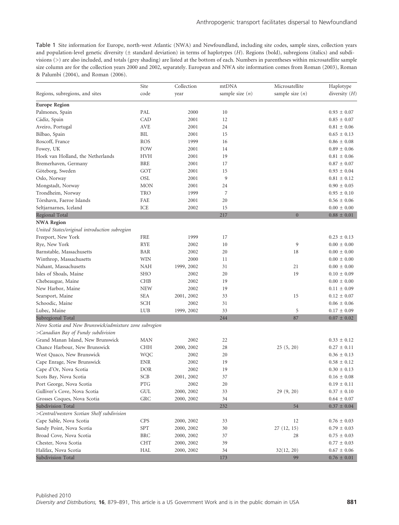Table 1 Site information for Europe, north-west Atlantic (NWA) and Newfoundland, including site codes, sample sizes, collection years and population-level genetic diversity (± standard deviation) in terms of haplotypes (H). Regions (bold), subregions (italics) and subdivisions (>) are also included, and totals (grey shading) are listed at the bottom of each. Numbers in parentheses within microsatellite sample size column are for the collection years 2000 and 2002, separately. European and NWA site information comes from Roman (2003), Roman & Palumbi (2004), and Roman (2006).

|                                                        | Site                             | Collection | mtDNA             | Microsatellite    | Haplotype         |  |
|--------------------------------------------------------|----------------------------------|------------|-------------------|-------------------|-------------------|--|
| Regions, subregions, and sites                         | code                             | year       | sample size $(n)$ | sample size $(n)$ | diversity $(H)$   |  |
| <b>Europe Region</b>                                   |                                  |            |                   |                   |                   |  |
| Palmones, Spain                                        | PAL                              | 2000       | 10                |                   | $0.93 \pm 0.07$   |  |
| Cádiz, Spain                                           | CAD                              | 2001       | 12                |                   | $0.85 \pm 0.07$   |  |
| Aveiro, Portugal                                       | <b>AVE</b>                       | 2001       | 24                |                   | $0.81 \pm 0.06$   |  |
| Bilbao, Spain                                          | BIL                              | 2001       | 15                |                   | $0.65 \pm 0.13$   |  |
| Roscoff, France                                        | <b>ROS</b>                       | 1999       | 16                |                   | $0.86 \pm 0.08$   |  |
| Fowey, UK                                              | FOW                              | 2001       | 14                |                   | $0.89 \pm 0.06$   |  |
| Hoek van Holland, the Netherlands                      | <b>HVH</b>                       | 2001       | 19                |                   | $0.81 \pm 0.06$   |  |
| Bremerhaven, Germany                                   | <b>BRE</b>                       | 2001       | 17                |                   | $0.87 \pm 0.07$   |  |
| Göteborg, Sweden                                       | GOT                              | 2001       | 15                |                   | $0.93 \pm 0.04$   |  |
| Oslo, Norway                                           | OSL                              | 2001       | 9                 |                   | $0.81 \pm 0.12$   |  |
| Mongstadt, Norway                                      | <b>MON</b>                       | 2001       | 24                |                   | $0.90 \pm 0.05$   |  |
| Trondheim, Norway                                      | <b>TRO</b>                       | 1999       | 7                 |                   | $0.95 \pm 0.10$   |  |
| Tórshavn, Faeroe Islands                               | FAE                              | 2001       | 20                |                   | $0.56 \pm 0.06$   |  |
| Seltjarnarnes, Iceland                                 | ICE                              | 2002       | 15                |                   | $0.00 \pm 0.00$   |  |
| Regional Total                                         |                                  |            | 217               | $\mathbf{0}$      | $0.88 \pm 0.01$   |  |
| <b>NWA Region</b>                                      |                                  |            |                   |                   |                   |  |
| United States/original introduction subregion          |                                  |            |                   |                   |                   |  |
| Freeport, New York                                     | FRE                              | 1999       | 17                |                   | $0.23 \pm 0.13$   |  |
| Rye, New York                                          | <b>RYE</b>                       | 2002       | 10                | 9                 | $0.00 \pm 0.00$   |  |
| Barnstable, Massachusetts                              | <b>BAR</b>                       | 2002       | 20                | 18                | $0.00 \pm 0.00$   |  |
| Winthrop, Massachusetts                                | <b>WIN</b>                       | 2000       | 11                |                   | $0.00 \pm 0.00$   |  |
| Nahant, Massachusetts                                  | <b>NAH</b>                       | 1999, 2002 | 31                | 21                | $0.00 \pm 0.00$   |  |
| Isles of Shoals, Maine                                 | <b>SHO</b>                       | 2002       | 20                | 19                | $0.10 \pm 0.09$   |  |
| Chebeaugue, Maine                                      | <b>CHB</b>                       | 2002       | 19                |                   | $0.00 \pm 0.00$   |  |
| New Harbor, Maine                                      | <b>NEW</b>                       | 2002       | 19                |                   | $0.11 \pm 0.09$   |  |
| Searsport, Maine                                       | <b>SEA</b>                       | 2001, 2002 | 33                | 15                | $0.12 \pm 0.07$   |  |
| Schoodic, Maine                                        | <b>SCH</b>                       | 2002       | 31                |                   | $0.06 \pm 0.06$   |  |
| Lubec, Maine                                           | LUB                              | 1999, 2002 | 33                | 5                 | $0.17 \pm 0.09$   |  |
| Subregional Total                                      |                                  |            | 244               | 87                | $0.07 \pm 0.02$   |  |
| Novo Scotia and New Brunswick/admixture zone subregion |                                  |            |                   |                   |                   |  |
| >Canadian Bay of Fundy subdivision                     |                                  |            |                   |                   |                   |  |
| Grand Manan Island, New Brunswick                      | <b>MAN</b>                       | 2002       | 22                |                   | $0.33 \pm 0.12$   |  |
| Chance Harbour, New Brunswick                          | <b>CHH</b>                       | 2000, 2002 | 28                | 25(5, 20)         | $0.27 \pm 0.11$   |  |
| West Quaco, New Brunswick                              | <b>WQC</b>                       | 2002       | 20                |                   | $0.36 \pm 0.13$   |  |
| Cape Enrage, New Brunswick                             | <b>ENR</b>                       | 2002       | 19                |                   | $0.58 \pm 0.12$   |  |
| Cape d'Or, Nova Scotia                                 | DOR                              | 2002       | 19                |                   | $0.30 \pm 0.13$   |  |
| Scots Bay, Nova Scotia                                 | <b>SCB</b>                       | 2001, 2002 | 37                |                   | $0.16 \pm 0.08$   |  |
| Port George, Nova Scotia                               | ${\rm PTG}$                      | 2002       | $20\,$            |                   | $0.19\pm0.11$     |  |
| Gulliver's Cove, Nova Scotia                           | GUL                              | 2000, 2002 | 33                | 29 (9, 20)        | $0.37 \pm 0.10$   |  |
| Grosses Coques, Nova Scotia                            | GRC                              | 2000, 2002 | 34                |                   | $0.64 \pm 0.07$   |  |
| Subdivision Total                                      |                                  |            | 232               | 54                | $0.37\,\pm\,0.04$ |  |
| >Central/western Scotian Shelf subdivision             |                                  |            |                   |                   |                   |  |
| Cape Sable, Nova Scotia                                | $\mathrm{C}\mathrm{P}\mathrm{S}$ | 2000, 2002 | 33                | 12                | $0.76 \pm 0.03$   |  |
| Sandy Point, Nova Scotia                               | SPT                              | 2000, 2002 | 30                | 27(12, 15)        | $0.79 \pm 0.03$   |  |
| Broad Cove, Nova Scotia                                | <b>BRC</b>                       | 2000, 2002 | 37                | 28                | $0.75 \pm 0.03$   |  |
| Chester, Nova Scotia                                   | <b>CHT</b>                       | 2000, 2002 | 39                |                   | $0.77\,\pm\,0.03$ |  |
| Halifax, Nova Scotia                                   | HAL                              | 2000, 2002 | 34                | 32(12, 20)        | $0.67 \pm 0.06$   |  |
| Subdivision Total                                      |                                  |            | 173               | 99                | $0.76 \pm 0.01$   |  |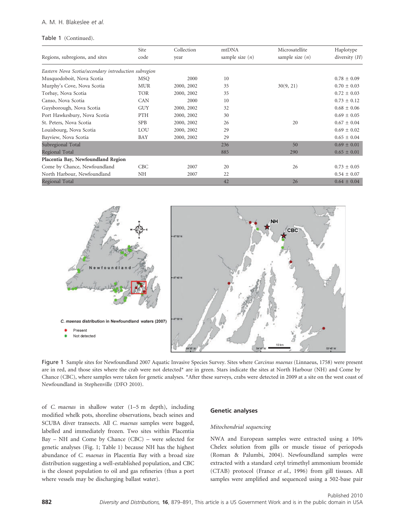#### Table 1 (Continued).

|                                                      | <b>Site</b> | Collection | mtDNA             | Microsatellite    | Haplotype       |
|------------------------------------------------------|-------------|------------|-------------------|-------------------|-----------------|
| Regions, subregions, and sites                       | code        | year       | sample size $(n)$ | sample size $(n)$ | diversity $(H)$ |
| Eastern Nova Scotia/secondary introduction subregion |             |            |                   |                   |                 |
| Musquodoboit, Nova Scotia                            | <b>MSO</b>  | 2000       | 10                |                   | $0.78 \pm 0.09$ |
| Murphy's Cove, Nova Scotia                           | <b>MUR</b>  | 2000, 2002 | 35                | 30(9, 21)         | $0.70 \pm 0.03$ |
| Torbay, Nova Scotia                                  | <b>TOR</b>  | 2000, 2002 | 35                |                   | $0.72 \pm 0.03$ |
| Canso, Nova Scotia                                   | <b>CAN</b>  | 2000       | 10                |                   | $0.73 \pm 0.12$ |
| Guysborough, Nova Scotia                             | <b>GUY</b>  | 2000, 2002 | 32                |                   | $0.68 \pm 0.06$ |
| Port Hawkesbury, Nova Scotia                         | <b>PTH</b>  | 2000, 2002 | 30                |                   | $0.69 \pm 0.05$ |
| St. Peters, Nova Scotia                              | <b>SPB</b>  | 2000, 2002 | 26                | 20                | $0.67 \pm 0.04$ |
| Louisbourg, Nova Scotia                              | LOU         | 2000, 2002 | 29                |                   | $0.69 \pm 0.02$ |
| Bayview, Nova Scotia                                 | BAY         | 2000, 2002 | 29                |                   | $0.65 \pm 0.04$ |
| Subregional Total                                    |             |            | 236               | 50 <sup>°</sup>   | $0.69 \pm 0.01$ |
| Regional Total                                       |             |            | 885               | 290               | $0.65 \pm 0.01$ |
| Placentia Bay, Newfoundland Region                   |             |            |                   |                   |                 |
| Come by Chance, Newfoundland                         | <b>CBC</b>  | 2007       | 20                | 26                | $0.73 \pm 0.05$ |
| North Harbour, Newfoundland                          | NH          | 2007       | 22                |                   | $0.54 \pm 0.07$ |
| <b>Regional Total</b>                                |             |            | 42                | 26                | $0.64 \pm 0.04$ |



Figure 1 Sample sites for Newfoundland 2007 Aquatic Invasive Species Survey. Sites where Carcinus maenas (Linnaeus, 1758) were present are in red, and those sites where the crab were not detected\* are in green. Stars indicate the sites at North Harbour (NH) and Come by Chance (CBC), where samples were taken for genetic analyses. \*After these surveys, crabs were detected in 2009 at a site on the west coast of Newfoundland in Stephenville (DFO 2010).

of C. maenas in shallow water (1–5 m depth), including modified whelk pots, shoreline observations, beach seines and SCUBA diver transects. All C. maenas samples were bagged, labelled and immediately frozen. Two sites within Placentia Bay – NH and Come by Chance (CBC) – were selected for genetic analyses (Fig. 1; Table 1) because NH has the highest abundance of C. maenas in Placentia Bay with a broad size distribution suggesting a well-established population, and CBC is the closest population to oil and gas refineries (thus a port where vessels may be discharging ballast water).

## Genetic analyses

## Mitochondrial sequencing

NWA and European samples were extracted using a 10% Chelex solution from gills or muscle tissue of periopods (Roman & Palumbi, 2004). Newfoundland samples were extracted with a standard cetyl trimethyl ammonium bromide (CTAB) protocol (France et al., 1996) from gill tissues. All samples were amplified and sequenced using a 502-base pair

Published 2010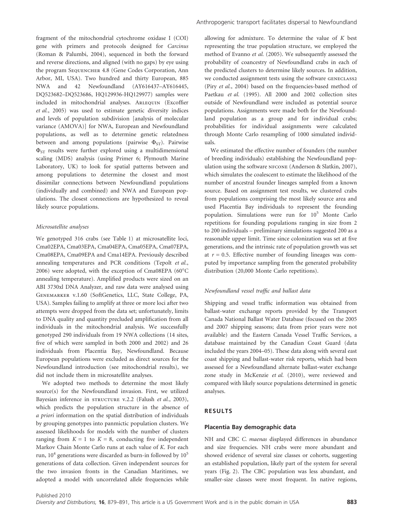fragment of the mitochondrial cytochrome oxidase I (COI) gene with primers and protocols designed for Carcinus (Roman & Palumbi, 2004), sequenced in both the forward and reverse directions, and aligned (with no gaps) by eye using the program SEQUENCHER 4.8 (Gene Codes Corporation, Ann Arbor, MI, USA). Two hundred and thirty European, 885 NWA and 42 Newfoundland (AY616437–AY616445, DQ523682–DQ523686, HQ129936-HQ129977) samples were included in mitochondrial analyses. Arlequin (Excoffier et al., 2005) was used to estimate genetic diversity indices and levels of population subdivision [analysis of molecular variance (AMOVA)] for NWA, European and Newfoundland populations, as well as to determine genetic relatedness between and among populations (pairwise  $\Phi_{ST}$ ). Pairwise  $\Phi_{ST}$  results were further explored using a multidimensional scaling (MDS) analysis (using Primer 6; Plymouth Marine Laboratory, UK) to look for spatial patterns between and among populations to determine the closest and most dissimilar connections between Newfoundland populations (individually and combined) and NWA and European populations. The closest connections are hypothesized to reveal likely source populations.

#### Microsatellite analyses

We genotyped 316 crabs (see Table 1) at microsatellite loci, Cma02EPA, Cma03EPA, Cma04EPA, Cma05EPA, Cma07EPA, Cma08EPA, Cma09EPA and Cma14EPA. Previously described annealing temperatures and PCR conditions (Tepolt et al., 2006) were adopted, with the exception of Cma08EPA (60°C annealing temperature). Amplified products were sized on an ABI 3730xl DNA Analyzer, and raw data were analysed using Genemarker v.1.60 (SoftGenetics, LLC, State College, PA, USA). Samples failing to amplify at three or more loci after two attempts were dropped from the data set; unfortunately, limits to DNA quality and quantity precluded amplification from all individuals in the mitochondrial analysis. We successfully genotyped 290 individuals from 19 NWA collections (14 sites, five of which were sampled in both 2000 and 2002) and 26 individuals from Placentia Bay, Newfoundland. Because European populations were excluded as direct sources for the Newfoundland introduction (see mitochondrial results), we did not include them in microsatellite analyses.

We adopted two methods to determine the most likely source(s) for the Newfoundland invasion. First, we utilized Bayesian inference in STRUCTURE v.2.2 (Falush et al., 2003), which predicts the population structure in the absence of a priori information on the spatial distribution of individuals by grouping genotypes into panmictic population clusters. We assessed likelihoods for models with the number of clusters ranging from  $K = 1$  to  $K = 8$ , conducting five independent Markov Chain Monte Carlo runs at each value of K. For each run,  $10^4$  generations were discarded as burn-in followed by  $10^5$ generations of data collection. Given independent sources for the two invasion fronts in the Canadian Maritimes, we adopted a model with uncorrelated allele frequencies while

allowing for admixture. To determine the value of K best representing the true population structure, we employed the method of Evanno et al. (2005). We subsequently assessed the probability of coancestry of Newfoundland crabs in each of the predicted clusters to determine likely sources. In addition, we conducted assignment tests using the software GENECLASS2 (Piry et al., 2004) based on the frequencies-based method of Paetkau et al. (1995). All 2000 and 2002 collection sites outside of Newfoundland were included as potential source populations. Assignments were made both for the Newfoundland population as a group and for individual crabs; probabilities for individual assignments were calculated through Monte Carlo resampling of 1000 simulated individuals.

We estimated the effective number of founders (the number of breeding individuals) establishing the Newfoundland population using the software nfcone (Anderson & Slatkin, 2007), which simulates the coalescent to estimate the likelihood of the number of ancestral founder lineages sampled from a known source. Based on assignment test results, we clustered crabs from populations comprising the most likely source area and used Placentia Bay individuals to represent the founding population. Simulations were run for  $10^5$  Monte Carlo repetitions for founding populations ranging in size from 2 to 200 individuals – preliminary simulations suggested 200 as a reasonable upper limit. Time since colonization was set at five generations, and the intrinsic rate of population growth was set at  $r = 0.5$ . Effective number of founding lineages was computed by importance sampling from the generated probability distribution (20,000 Monte Carlo repetitions).

## Newfoundland vessel traffic and ballast data

Shipping and vessel traffic information was obtained from ballast-water exchange reports provided by the Transport Canada National Ballast Water Database (focused on the 2005 and 2007 shipping seasons; data from prior years were not available) and the Eastern Canada Vessel Traffic Services, a database maintained by the Canadian Coast Guard (data included the years 2004–05). These data along with several east coast shipping and ballast-water risk reports, which had been assessed for a Newfoundland alternate ballast-water exchange zone study in McKenzie et al. (2010), were reviewed and compared with likely source populations determined in genetic analyses.

## RESULTS

## Placentia Bay demographic data

NH and CBC C. maenas displayed differences in abundance and size frequencies. NH crabs were more abundant and showed evidence of several size classes or cohorts, suggesting an established population, likely part of the system for several years (Fig. 2). The CBC population was less abundant, and smaller-size classes were most frequent. In native regions,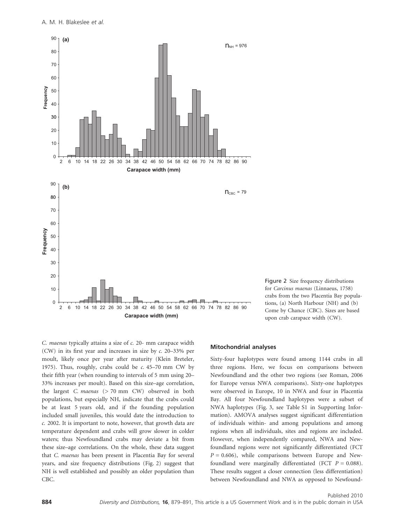

Figure 2 Size frequency distributions for Carcinus maenas (Linnaeus, 1758) crabs from the two Placentia Bay populations, (a) North Harbour (NH) and (b) Come by Chance (CBC). Sizes are based upon crab carapace width (CW).

C. maenas typically attains a size of c. 20- mm carapace width (CW) in its first year and increases in size by c. 20–33% per moult, likely once per year after maturity (Klein Breteler, 1975). Thus, roughly, crabs could be c. 45–70 mm CW by their fifth year (when rounding to intervals of 5 mm using 20– 33% increases per moult). Based on this size–age correlation, the largest C. maenas  $(> 70$  mm CW) observed in both populations, but especially NH, indicate that the crabs could be at least 5 years old, and if the founding population included small juveniles, this would date the introduction to c. 2002. It is important to note, however, that growth data are temperature dependent and crabs will grow slower in colder waters; thus Newfoundland crabs may deviate a bit from these size–age correlations. On the whole, these data suggest that C. maenas has been present in Placentia Bay for several years, and size frequency distributions (Fig. 2) suggest that NH is well established and possibly an older population than CBC.

#### Mitochondrial analyses

Sixty-four haplotypes were found among 1144 crabs in all three regions. Here, we focus on comparisons between Newfoundland and the other two regions (see Roman, 2006 for Europe versus NWA comparisons). Sixty-one haplotypes were observed in Europe, 10 in NWA and four in Placentia Bay. All four Newfoundland haplotypes were a subset of NWA haplotypes (Fig. 3, see Table S1 in Supporting Information). AMOVA analyses suggest significant differentiation of individuals within- and among populations and among regions when all individuals, sites and regions are included. However, when independently compared, NWA and Newfoundland regions were not significantly differentiated (FCT  $P = 0.606$ , while comparisons between Europe and Newfoundland were marginally differentiated (FCT  $P = 0.088$ ). These results suggest a closer connection (less differentiation) between Newfoundland and NWA as opposed to Newfound-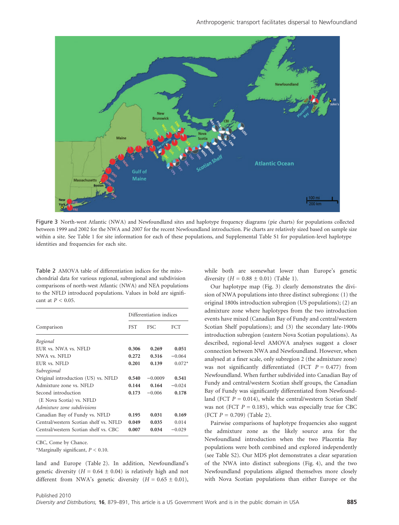

Figure 3 North-west Atlantic (NWA) and Newfoundland sites and haplotype frequency diagrams (pie charts) for populations collected between 1999 and 2002 for the NWA and 2007 for the recent Newfoundland introduction. Pie charts are relatively sized based on sample size within a site. See Table 1 for site information for each of these populations, and Supplemental Table S1 for population-level haplotype identities and frequencies for each site.

Table 2 AMOVA table of differentiation indices for the mitochondrial data for various regional, subregional and subdivision comparisons of north-west Atlantic (NWA) and NEA populations to the NFLD introduced populations. Values in bold are significant at  $P < 0.05$ .

|                                        | Differentiation indices |            |            |  |
|----------------------------------------|-------------------------|------------|------------|--|
| Comparison                             | <b>FST</b>              | <b>FSC</b> | <b>FCT</b> |  |
| Regional                               |                         |            |            |  |
| EUR vs. NWA vs. NFLD                   | 0.306                   | 0.269      | 0.051      |  |
| NWA vs. NFLD                           | 0.272                   | 0.316      | $-0.064$   |  |
| EUR vs. NFLD                           | 0.201                   | 0.139      | $0.072*$   |  |
| Subregional                            |                         |            |            |  |
| Original introduction (US) vs. NFLD    | 0.540                   | $-0.0009$  | 0.541      |  |
| Admixture zone vs. NFLD                | 0.144                   | 0.164      | $-0.024$   |  |
| Second introduction                    | 0.173                   | $-0.006$   | 0.178      |  |
| (E Nova Scotia) vs. NFLD               |                         |            |            |  |
| Admixture zone subdivisions            |                         |            |            |  |
| Canadian Bay of Fundy vs. NFLD         | 0.195                   | 0.031      | 0.169      |  |
| Central/western Scotian shelf vs. NFLD | 0.049                   | 0.035      | 0.014      |  |
| Central/western Scotian shelf vs. CBC  | 0.007                   | 0.034      | $-0.029$   |  |

CBC, Come by Chance.

\*Marginally significant,  $P < 0.10$ .

land and Europe (Table 2). In addition, Newfoundland's genetic diversity ( $H = 0.64 \pm 0.04$ ) is relatively high and not different from NWA's genetic diversity  $(H = 0.65 \pm 0.01)$ , while both are somewhat lower than Europe's genetic diversity  $(H = 0.88 \pm 0.01)$  (Table 1).

Our haplotype map (Fig. 3) clearly demonstrates the division of NWA populations into three distinct subregions: (1) the original 1800s introduction subregion (US populations); (2) an admixture zone where haplotypes from the two introduction events have mixed (Canadian Bay of Fundy and central/western Scotian Shelf populations); and (3) the secondary late-1900s introduction subregion (eastern Nova Scotian populations). As described, regional-level AMOVA analyses suggest a closer connection between NWA and Newfoundland. However, when analysed at a finer scale, only subregion 2 (the admixture zone) was not significantly differentiated (FCT  $P = 0.477$ ) from Newfoundland. When further subdivided into Canadian Bay of Fundy and central/western Scotian shelf groups, the Canadian Bay of Fundy was significantly differentiated from Newfoundland (FCT  $P = 0.014$ ), while the central/western Scotian Shelf was not (FCT  $P = 0.185$ ), which was especially true for CBC (FCT  $P = 0.709$ ) (Table 2).

Pairwise comparisons of haplotype frequencies also suggest the admixture zone as the likely source area for the Newfoundland introduction when the two Placentia Bay populations were both combined and explored independently (see Table S2). Our MDS plot demonstrates a clear separation of the NWA into distinct subregions (Fig. 4), and the two Newfoundland populations aligned themselves more closely with Nova Scotian populations than either Europe or the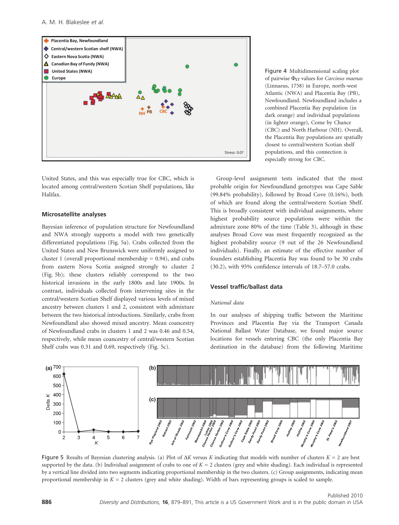

United States, and this was especially true for CBC, which is located among central/western Scotian Shelf populations, like Halifax.

## Microsatellite analyses

Bayesian inference of population structure for Newfoundland and NWA strongly supports a model with two genetically differentiated populations (Fig. 5a). Crabs collected from the United States and New Brunswick were uniformly assigned to cluster 1 (overall proportional membership  $= 0.94$ ), and crabs from eastern Nova Scotia assigned strongly to cluster 2 (Fig. 5b); these clusters reliably correspond to the two historical invasions in the early 1800s and late 1900s. In contrast, individuals collected from intervening sites in the central/western Scotian Shelf displayed various levels of mixed ancestry between clusters 1 and 2, consistent with admixture between the two historical introductions. Similarly, crabs from Newfoundland also showed mixed ancestry. Mean coancestry of Newfoundland crabs in clusters 1 and 2 was 0.46 and 0.54, respectively, while mean coancestry of central/western Scotian Shelf crabs was 0.31 and 0.69, respectively (Fig. 5c).

Figure 4 Multidimensional scaling plot of pairwise  $\Phi_{ST}$  values for Carcinus maenas (Linnaeus, 1758) in Europe, north-west Atlantic (NWA) and Placentia Bay (PB), Newfoundland. Newfoundland includes a combined Placentia Bay population (in dark orange) and individual populations (in lighter orange), Come by Chance (CBC) and North Harbour (NH). Overall, the Placentia Bay populations are spatially closest to central/western Scotian shelf populations, and this connection is especially strong for CBC.

Group-level assignment tests indicated that the most probable origin for Newfoundland genotypes was Cape Sable (99.84% probability), followed by Broad Cove (0.16%), both of which are found along the central/western Scotian Shelf. This is broadly consistent with individual assignments, where highest probability source populations were within the admixture zone 80% of the time (Table 3), although in these analyses Broad Cove was most frequently recognized as the highest probability source (9 out of the 26 Newfoundland individuals). Finally, an estimate of the effective number of founders establishing Placentia Bay was found to be 30 crabs (30.2), with 95% confidence intervals of 18.7–57.0 crabs.

## Vessel traffic/ballast data

## National data

In our analyses of shipping traffic between the Maritime Provinces and Placentia Bay via the Transport Canada National Ballast Water Database, we found major source locations for vessels entering CBC (the only Placentia Bay destination in the database) from the following Maritime



Figure 5 Results of Bayesian clustering analysis. (a) Plot of  $\Delta K$  versus K indicating that models with number of clusters  $K = 2$  are best supported by the data. (b) Individual assignment of crabs to one of  $K = 2$  clusters (grey and white shading). Each individual is represented by a vertical line divided into two segments indicating proportional membership in the two clusters. (c) Group assignments, indicating mean proportional membership in  $K = 2$  clusters (grey and white shading). Width of bars representing groups is scaled to sample.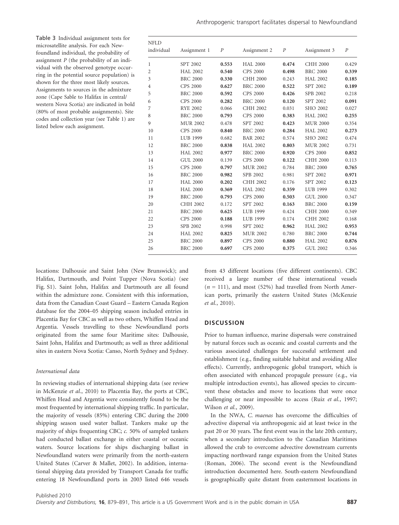Anthropogenic transport facilitates dispersal to Newfoundland

| Table 3 Individual assignment tests for     |
|---------------------------------------------|
| microsatellite analysis. For each New-      |
| foundland individual, the probability of    |
| assignment $P$ (the probability of an indi- |
| vidual with the observed genotype occur-    |
| ring in the potential source population) is |
| shown for the three most likely sources.    |
| Assignments to sources in the admixture     |
| zone (Cape Sable to Halifax in central/     |
| western Nova Scotia) are indicated in bold  |
| (80% of most probable assignments). Site    |
| codes and collection year (see Table 1) are |
| listed below each assignment.               |
|                                             |

| <b>NFLD</b><br>individual | Assignment 1    | $\boldsymbol{P}$ | Assignment 2    | $\boldsymbol{P}$ | Assignment 3    | $\boldsymbol{P}$ |
|---------------------------|-----------------|------------------|-----------------|------------------|-----------------|------------------|
| 1                         | SPT 2002        | 0.553            | <b>HAL 2000</b> | 0.474            | <b>CHH 2000</b> | 0.429            |
| $\overline{c}$            | <b>HAL 2002</b> | 0.540            | <b>CPS 2000</b> | 0.498            | <b>BRC 2000</b> | 0.339            |
| 3                         | <b>BRC 2000</b> | 0.330            | <b>CHH 2000</b> | 0.243            | <b>HAL 2002</b> | 0.185            |
| $\overline{4}$            | <b>CPS 2000</b> | 0.627            | <b>BRC 2000</b> | 0.522            | SPT 2002        | 0.189            |
| 5                         | <b>BRC 2000</b> | 0.592            | <b>CPS 2000</b> | 0.426            | SPB 2002        | 0.218            |
| 6                         | <b>CPS 2000</b> | 0.282            | <b>BRC 2000</b> | 0.120            | SPT 2002        | 0.091            |
| 7                         | <b>RYE 2002</b> | 0.066            | CHH 2002        | 0.031            | SHO 2002        | 0.027            |
| 8                         | <b>BRC 2000</b> | 0.793            | <b>CPS 2000</b> | 0.383            | <b>HAL 2002</b> | 0.255            |
| 9                         | <b>MUR 2002</b> | 0.478            | SPT 2002        | 0.423            | <b>MUR 2000</b> | 0.354            |
| 10                        | <b>CPS 2000</b> | 0.840            | <b>BRC 2000</b> | 0.284            | <b>HAL 2002</b> | 0.273            |
| 11                        | LUB 1999        | 0.682            | <b>BAR 2002</b> | 0.574            | SHO 2002        | 0.474            |
| 12                        | <b>BRC 2000</b> | 0.838            | <b>HAL 2002</b> | 0.803            | <b>MUR 2002</b> | 0.731            |
| 13                        | <b>HAL 2002</b> | 0.977            | <b>BRC 2000</b> | 0.920            | <b>CPS 2000</b> | 0.852            |
| 14                        | <b>GUL 2000</b> | 0.139            | <b>CPS 2000</b> | 0.122            | CHH 2000        | 0.113            |
| 15                        | <b>CPS 2000</b> | 0.797            | <b>MUR 2002</b> | 0.784            | <b>BRC 2000</b> | 0.765            |
| 16                        | <b>BRC 2000</b> | 0.982            | SPB 2002        | 0.981            | SPT 2002        | 0.971            |
| 17                        | <b>HAL 2000</b> | 0.202            | CHH 2002        | 0.176            | SPT 2002        | 0.123            |
| 18                        | <b>HAL 2000</b> | 0.369            | <b>HAL 2002</b> | 0.359            | LUB 1999        | 0.302            |
| 19                        | <b>BRC 2000</b> | 0.793            | <b>CPS 2000</b> | 0.503            | <b>GUL 2000</b> | 0.347            |
| 20                        | CHH 2002        | 0.172            | SPT 2002        | 0.163            | <b>BRC 2000</b> | 0.159            |
| 21                        | <b>BRC 2000</b> | 0.625            | LUB 1999        | 0.424            | <b>CHH 2000</b> | 0.349            |
| 22                        | <b>CPS 2000</b> | 0.188            | LUB 1999        | 0.174            | CHH 2002        | 0.168            |
| 23                        | SPB 2002        | 0.998            | SPT 2002        | 0.962            | <b>HAL 2002</b> | 0.953            |
| 24                        | <b>HAL 2002</b> | 0.825            | <b>MUR 2002</b> | 0.780            | <b>BRC 2000</b> | 0.744            |
| 25                        | <b>BRC 2000</b> | 0.897            | <b>CPS 2000</b> | 0.880            | <b>HAL 2002</b> | 0.876            |
| 26                        | <b>BRC 2000</b> | 0.697            | <b>CPS 2000</b> | 0.375            | <b>GUL 2002</b> | 0.346            |

locations: Dalhousie and Saint John (New Brunswick); and Halifax, Dartmouth, and Point Tupper (Nova Scotia) (see Fig. S1). Saint John, Halifax and Dartmouth are all found within the admixture zone. Consistent with this information, data from the Canadian Coast Guard – Eastern Canada Region database for the 2004–05 shipping season included entries in Placentia Bay for CBC as well as two others, Whiffen Head and Argentia. Vessels travelling to these Newfoundland ports originated from the same four Maritime sites: Dalhousie, Saint John, Halifax and Dartmouth; as well as three additional sites in eastern Nova Scotia: Canso, North Sydney and Sydney.

#### International data

In reviewing studies of international shipping data (see review in McKenzie et al., 2010) to Placentia Bay, the ports at CBC, Whiffen Head and Argentia were consistently found to be the most frequented by international shipping traffic. In particular, the majority of vessels (85%) entering CBC during the 2000 shipping season used water ballast. Tankers make up the majority of ships frequenting CBC; c. 50% of sampled tankers had conducted ballast exchange in either coastal or oceanic waters. Source locations for ships discharging ballast in Newfoundland waters were primarily from the north-eastern United States (Carver & Mallet, 2002). In addition, international shipping data provided by Transport Canada for traffic entering 18 Newfoundland ports in 2003 listed 646 vessels from 43 different locations (five different continents). CBC received a large number of these international vessels  $(n = 111)$ , and most (52%) had travelled from North American ports, primarily the eastern United States (McKenzie et al., 2010).

#### **DISCUSSION**

Prior to human influence, marine dispersals were constrained by natural forces such as oceanic and coastal currents and the various associated challenges for successful settlement and establishment (e.g., finding suitable habitat and avoiding Allee effects). Currently, anthropogenic global transport, which is often associated with enhanced propagule pressure (e.g., via multiple introduction events), has allowed species to circumvent these obstacles and move to locations that were once challenging or near impossible to access (Ruiz et al., 1997; Wilson et al., 2009).

In the NWA, C. maenas has overcome the difficulties of advective dispersal via anthropogenic aid at least twice in the past 20 or 30 years. The first event was in the late 20th century, when a secondary introduction to the Canadian Maritimes allowed the crab to overcome advective downstream currents impacting northward range expansion from the United States (Roman, 2006). The second event is the Newfoundland introduction documented here. South-eastern Newfoundland is geographically quite distant from easternmost locations in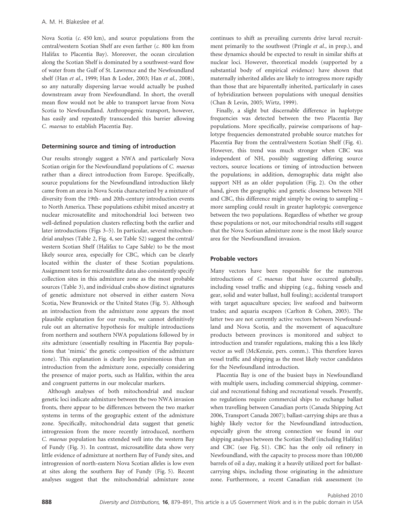Nova Scotia  $(c. 450 \text{ km})$ , and source populations from the central/western Scotian Shelf are even farther (c. 800 km from Halifax to Placentia Bay). Moreover, the ocean circulation along the Scotian Shelf is dominated by a southwest-ward flow of water from the Gulf of St. Lawrence and the Newfoundland shelf (Han et al., 1999; Han & Loder, 2003; Han et al., 2008), so any naturally dispersing larvae would actually be pushed downstream away from Newfoundland. In short, the overall mean flow would not be able to transport larvae from Nova Scotia to Newfoundland. Anthropogenic transport, however, has easily and repeatedly transcended this barrier allowing C. maenas to establish Placentia Bay.

## Determining source and timing of introduction

Our results strongly suggest a NWA and particularly Nova Scotian origin for the Newfoundland populations of C. maenas rather than a direct introduction from Europe. Specifically, source populations for the Newfoundland introduction likely came from an area in Nova Scotia characterized by a mixture of diversity from the 19th- and 20th-century introduction events to North America. These populations exhibit mixed ancestry at nuclear microsatellite and mitochondrial loci between two well-defined population clusters reflecting both the earlier and later introductions (Figs 3–5). In particular, several mitochondrial analyses (Table 2, Fig. 4, see Table S2) suggest the central/ western Scotian Shelf (Halifax to Cape Sable) to be the most likely source area, especially for CBC, which can be clearly located within the cluster of these Scotian populations. Assignment tests for microsatellite data also consistently specify collection sites in this admixture zone as the most probable sources (Table 3), and individual crabs show distinct signatures of genetic admixture not observed in either eastern Nova Scotia, New Brunswick or the United States (Fig. 5). Although an introduction from the admixture zone appears the most plausible explanation for our results, we cannot definitively rule out an alternative hypothesis for multiple introductions from northern and southern NWA populations followed by in situ admixture (essentially resulting in Placentia Bay populations that 'mimic' the genetic composition of the admixture zone). This explanation is clearly less parsimonious than an introduction from the admixture zone, especially considering the presence of major ports, such as Halifax, within the area and congruent patterns in our molecular markers.

Although analyses of both mitochondrial and nuclear genetic loci indicate admixture between the two NWA invasion fronts, there appear to be differences between the two marker systems in terms of the geographic extent of the admixture zone. Specifically, mitochondrial data suggest that genetic introgression from the more recently introduced, northern C. maenas population has extended well into the western Bay of Fundy (Fig. 3). In contrast, microsatellite data show very little evidence of admixture at northern Bay of Fundy sites, and introgression of north-eastern Nova Scotian alleles is low even at sites along the southern Bay of Fundy (Fig. 5). Recent analyses suggest that the mitochondrial admixture zone continues to shift as prevailing currents drive larval recruitment primarily to the southwest (Pringle et al., in prep.), and these dynamics should be expected to result in similar shifts at nuclear loci. However, theoretical models (supported by a substantial body of empirical evidence) have shown that maternally inherited alleles are likely to introgress more rapidly than those that are biparentally inherited, particularly in cases of hybridization between populations with unequal densities (Chan & Levin, 2005; Wirtz, 1999).

Finally, a slight but discernable difference in haplotype frequencies was detected between the two Placentia Bay populations. More specifically, pairwise comparisons of haplotype frequencies demonstrated probable source matches for Placentia Bay from the central/western Scotian Shelf (Fig. 4). However, this trend was much stronger when CBC was independent of NH, possibly suggesting differing source vectors, source locations or timing of introduction between the populations; in addition, demographic data might also support NH as an older population (Fig. 2). On the other hand, given the geographic and genetic closeness between NH and CBC, this difference might simply be owing to sampling – more sampling could result in greater haplotypic convergence between the two populations. Regardless of whether we group these populations or not, our mitochondrial results still suggest that the Nova Scotian admixture zone is the most likely source area for the Newfoundland invasion.

## Probable vectors

Many vectors have been responsible for the numerous introductions of C. maenas that have occurred globally, including vessel traffic and shipping (e.g., fishing vessels and gear, solid and water ballast, hull fouling); accidental transport with target aquaculture species; live seafood and baitworm trades; and aquaria escapees (Carlton & Cohen, 2003). The latter two are not currently active vectors between Newfoundland and Nova Scotia, and the movement of aquaculture products between provinces is monitored and subject to introduction and transfer regulations, making this a less likely vector as well (McKenzie, pers. comm.). This therefore leaves vessel traffic and shipping as the most likely vector candidates for the Newfoundland introduction.

Placentia Bay is one of the busiest bays in Newfoundland with multiple users, including commercial shipping, commercial and recreational fishing and recreational vessels. Presently, no regulations require commercial ships to exchange ballast when travelling between Canadian ports (Canada Shipping Act 2006, Transport Canada 2007); ballast-carrying ships are thus a highly likely vector for the Newfoundland introduction, especially given the strong connection we found in our shipping analyses between the Scotian Shelf (including Halifax) and CBC (see Fig. S1). CBC has the only oil refinery in Newfoundland, with the capacity to process more than 100,000 barrels of oil a day, making it a heavily utilized port for ballastcarrying ships, including those originating in the admixture zone. Furthermore, a recent Canadian risk assessment (to

Published 2010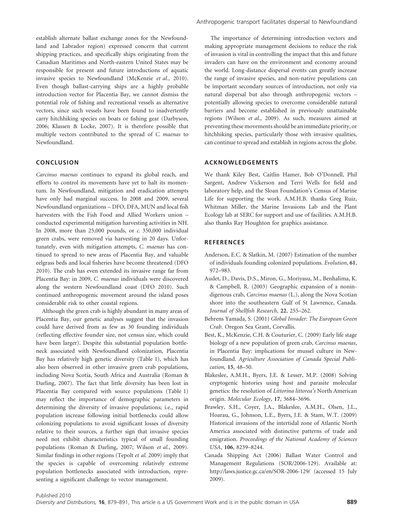establish alternate ballast exchange zones for the Newfoundland and Labrador region) expressed concern that current shipping practices, and specifically ships originating from the Canadian Maritimes and North-eastern United States may be responsible for present and future introductions of aquatic invasive species to Newfoundland (McKenzie et al., 2010). Even though ballast-carrying ships are a highly probable introduction vector for Placentia Bay, we cannot dismiss the potential role of fishing and recreational vessels as alternative vectors, since such vessels have been found to inadvertently carry hitchhiking species on boats or fishing gear (Darbyson, 2006; Klassen & Locke, 2007). It is therefore possible that multiple vectors contributed to the spread of C. maenas to Newfoundland.

## CONCLUSION

Carcinus maenas continues to expand its global reach, and efforts to control its movements have yet to halt its momentum. In Newfoundland, mitigation and eradication attempts have only had marginal success. In 2008 and 2009, several Newfoundland organizations – DFO, DFA, MUN and local fish harvesters with the Fish Food and Allied Workers union – conducted experimental mitigation harvesting activities in NH. In 2008, more than  $25,000$  pounds, or  $c$ . 350,000 individual green crabs, were removed via harvesting in 20 days. Unfortunately, even with mitigation attempts, C. maenas has continued to spread to new areas of Placentia Bay, and valuable eelgrass beds and local fisheries have become threatened (DFO 2010). The crab has even extended its invasive range far from Placentia Bay: in 2009, C. maenas individuals were discovered along the western Newfoundland coast (DFO 2010). Such continued anthropogenic movement around the island poses considerable risk to other coastal regions.

Although the green crab is highly abundant in many areas of Placentia Bay, our genetic analyses suggest that the invasion could have derived from as few as 30 founding individuals (reflecting effective founder size, not census size, which could have been larger). Despite this substantial population bottleneck associated with Newfoundland colonization, Placentia Bay has relatively high genetic diversity (Table 1), which has also been observed in other invasive green crab populations, including Nova Scotia, South Africa and Australia (Roman & Darling, 2007). The fact that little diversity has been lost in Placentia Bay compared with source populations (Table 1) may reflect the importance of demographic parameters in determining the diversity of invasive populations; i.e., rapid population increase following initial bottlenecks could allow colonizing populations to avoid significant losses of diversity relative to their sources, a further sign that invasive species need not exhibit characteristics typical of small founding populations (Roman & Darling, 2007; Wilson et al., 2009). Similar findings in other regions (Tepolt et al. 2009) imply that the species is capable of overcoming relatively extreme population bottlenecks associated with introduction, representing a significant challenge to vector management.

The importance of determining introduction vectors and making appropriate management decisions to reduce the risk of invasion is vital in controlling the impact that this and future invaders can have on the environment and economy around the world. Long-distance dispersal events can greatly increase the range of invasive species, and non-native populations can be important secondary sources of introduction, not only via natural dispersal but also through anthropogenic vectors – potentially allowing species to overcome considerable natural barriers and become established in previously unattainable regions (Wilson et al., 2009). As such, measures aimed at preventing these movements should be an immediate priority, or hitchhiking species, particularly those with invasive qualities, can continue to spread and establish in regions across the globe.

## ACKNOWLEDGEMENTS

We thank Kiley Best, Caitlin Hamer, Bob O'Donnell, Phil Sargent, Andrew Vickerson and Terri Wells for field and laboratory help, and the Sloan Foundation's Census of Marine Life for supporting the work. A.M.H.B. thanks Greg Ruiz, Whitman Miller, the Marine Invasions Lab and the Plant Ecology lab at SERC for support and use of facilities. A.M.H.B. also thanks Ray Houghton for graphics assistance.

## **REFERENCES**

- Anderson, E.C. & Slatkin, M. (2007) Estimation of the number of individuals founding colonized populations. Evolution, 61, 972–983.
- Audet, D., Davis, D.S., Miron, G., Moriyasu, M., Benhalima, K. & Campbell, R. (2003) Geographic expansion of a nonindigenous crab, Carcinus maenas (L.), along the Nova Scotian shore into the southeastern Gulf of St Lawrence, Canada. Journal of Shellfish Research, 22, 255–262.
- Behrens Yamada, S. (2001) Global Invader: The European Green Crab. Oregon Sea Grant, Corvallis.
- Best, K., McKenzie, C.H. & Couturier, C. (2009) Early life stage biology of a new population of green crab, Carcinus maenas, in Placentia Bay: implications for mussel culture in Newfoundland. Agriculture Association of Canada Special Publication, 15, 48–50.
- Blakeslee, A.M.H., Byers, J.E. & Lesser, M.P. (2008) Solving cryptogenic histories using host and parasite molecular genetics: the resolution of Littorina littorea's North American origin. Molecular Ecology, 17, 3684–3696.
- Brawley, S.H., Coyer, J.A., Blakeslee, A.M.H., Olsen, J.L., Hoarau, G., Johnson, L.E., Byers, J.E. & Stam, W.T. (2009) Historical invasions of the intertidal zone of Atlantic North America associated with distinctive patterns of trade and emigration. Proceedings of the National Academy of Sciences USA, 106, 8239–8244.
- Canada Shipping Act (2006) Ballast Water Control and Management Regulations (SOR/2006-129). Available at: http://laws.justice.gc.ca/en/SOR-2006-129/ (accessed 15 July 2009).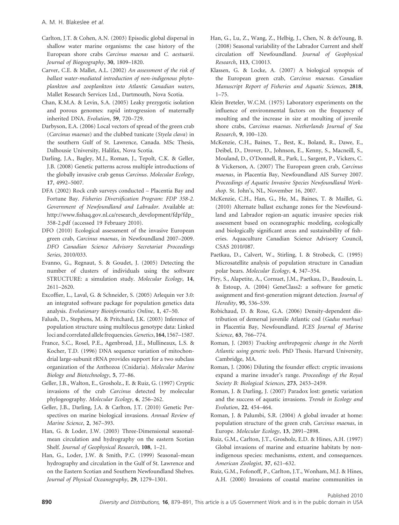- Carlton, J.T. & Cohen, A.N. (2003) Episodic global dispersal in shallow water marine organisms: the case history of the European shore crabs Carcinus maenas and C. aestuarii. Journal of Biogeography, 30, 1809–1820.
- Carver, C.E. & Mallet, A.L. (2002) An assessment of the risk of ballast water-mediated introduction of non-indigenous phytoplankton and zooplankton into Atlantic Canadian waters, Mallet Research Services Ltd., Dartmouth, Nova Scotia.
- Chan, K.M.A. & Levin, S.A. (2005) Leaky prezygotic isolation and porous genomes: rapid introgression of maternally inherited DNA. Evolution, 59, 720–729.
- Darbyson, E.A. (2006) Local vectors of spread of the green crab (Carcinus maenas) and the clubbed tunicate (Styela clava) in the southern Gulf of St. Lawrence, Canada. MSc Thesis, Dalhousie University, Halifax, Nova Scotia.
- Darling, J.A., Bagley, M.J., Roman, J., Tepolt, C.K. & Geller, J.B. (2008) Genetic patterns across multiple introductions of the globally invasive crab genus Carcinus. Molecular Ecology, 17, 4992–5007.
- DFA (2002) Rock crab surveys conducted Placentia Bay and Fortune Bay. Fisheries Diversification Program: FDP 358-2. Government of Newfoundland and Labrador. Available at: http://www.fishaq.gov.nl.ca/research\_development/fdp/fdp\_ 358-2.pdf (accessed 19 February 2010).
- DFO (2010) Ecological assessment of the invasive European green crab, Carcinus maenas, in Newfoundland 2007–2009. DFO Canadian Science Advisory Secretariat Proceedings Series, 2010/033.
- Evanno, G., Regnaut, S. & Goudet, J. (2005) Detecting the number of clusters of individuals using the software STRUCTURE: a simulation study. Molecular Ecology, 14, 2611–2620.
- Excoffier, L., Laval, G. & Schneider, S. (2005) Arlequin ver 3.0: an integrated software package for population genetics data analysis. Evolutionary Bioinformatics Online, 1, 47–50.
- Falush, D., Stephens, M. & Pritchard, J.K. (2003) Inference of population structure using multilocus genotype data: Linked loci and correlated allele frequencies. Genetics, 164, 1567-1587.
- France, S.C., Rosel, P.E., Agenbroad, J.E., Mullineaux, L.S. & Kocher, T.D. (1996) DNA sequence variation of mitochondrial large-subunit rRNA provides support for a two subclass organization of the Anthozoa (Cnidaria). Molecular Marine Biology and Biotechnology, 5, 77–86.
- Geller, J.B., Walton, E., Grosholz., E. & Ruiz, G. (1997) Cryptic invasions of the crab Carcinus detected by molecular phylogeography. Molecular Ecology, 6, 256–262.
- Geller, J.B., Darling, J.A. & Carlton, J.T. (2010) Genetic Perspectives on marine biological invasions. Annual Review of Marine Science, 2, 367–393.
- Han, G. & Loder, J.W. (2003) Three-Dimensional seasonalmean circulation and hydrography on the eastern Scotian Shelf. Journal of Geophysical Research, 108, 1–21.
- Han, G., Loder, J.W. & Smith, P.C. (1999) Seasonal–mean hydrography and circulation in the Gulf of St. Lawrence and on the Eastern Scotian and Southern Newfoundland Shelves. Journal of Physical Oceanography, 29, 1279–1301.
- Han, G., Lu, Z., Wang, Z., Helbig, J., Chen, N. & deYoung, B. (2008) Seasonal variability of the Labrador Current and shelf circulation off Newfoundland. Journal of Geophysical Research, 113, C10013.
- Klassen, G. & Locke, A. (2007) A biological synopsis of the European green crab, Carcinus maenas. Canadian Manuscript Report of Fisheries and Aquatic Sciences, 2818,  $1 - 75$ .
- Klein Breteler, W.C.M. (1975) Laboratory experiments on the influence of environmental factors on the frequency of moulting and the increase in size at moulting of juvenile shore crabs, Carcinus maenas. Netherlands Journal of Sea Research, 9, 100–120.
- McKenzie, C.H., Baines, T., Best, K., Boland, R., Dawe, E., Deibel, D., Drover, D., Johnson, E., Kenny, S., Macneill, S., Mouland, D., O'Donnell, R., Park, L., Sargent, P., Vickers, C. & Vickerson, A. (2007) The European green crab, Carcinus maenas, in Placentia Bay, Newfoundland AIS Survey 2007. Proceedings of Aquatic Invasive Species Newfoundland Workshop. St. John's, NL, November 16, 2007.
- McKenzie, C.H., Han, G., He, M., Baines, T. & Maillet, G. (2010) Alternate ballast exchange zones for the Newfoundland and Labrador region-an aquatic invasive species risk assessment based on oceanographic modeling, ecologically and biologically significant areas and sustainability of fisheries. Aquaculture Canadian Science Advisory Council, CSAS 2010/087.
- Paetkau, D., Calvert, W., Stirling, I. & Strobeck, C. (1995) Microsatellite analysis of population structure in Canadian polar bears. Molecular Ecology, 4, 347–354.
- Piry, S., Alapetite, A., Cornuet, J.M., Paetkau, D., Baudouin, L. & Estoup, A. (2004) GeneClass2: a software for genetic assignment and first-generation migrant detection. Journal of Heredity, 95, 536–539.
- Robichaud, D. & Rose, G.A. (2006) Density-dependent distribution of demersal juvenile Atlantic cod (Gadus morhua) in Placentia Bay, Newfoundland. ICES Journal of Marine Science, 63, 766–774.
- Roman, J. (2003) Tracking anthropogenic change in the North Atlantic using genetic tools. PhD Thesis. Harvard University, Cambridge, MA.
- Roman, J. (2006) Diluting the founder effect: cryptic invasions expand a marine invader's range. Proceedings of the Royal Society B: Biological Sciences, 273, 2453–2459.
- Roman, J. & Darling, J. (2007) Paradox lost: genetic variation and the success of aquatic invasions. Trends in Ecology and Evolution, 22, 454–464.
- Roman, J. & Palumbi, S.R. (2004) A global invader at home: population structure of the green crab, Carcinus maenas, in Europe. Molecular Ecology, 13, 2891–2898.
- Ruiz, G.M., Carlton, J.T., Grosholz, E.D. & Hines, A.H. (1997) Global invasions of marine and estuarine habitats by nonindigenous species: mechanisms, extent, and consequences. American Zoologist, 37, 621–632.
- Ruiz, G.M., Fofonoff, P., Carlton, J.T., Wonham, M.J. & Hines, A.H. (2000) Invasions of coastal marine communities in